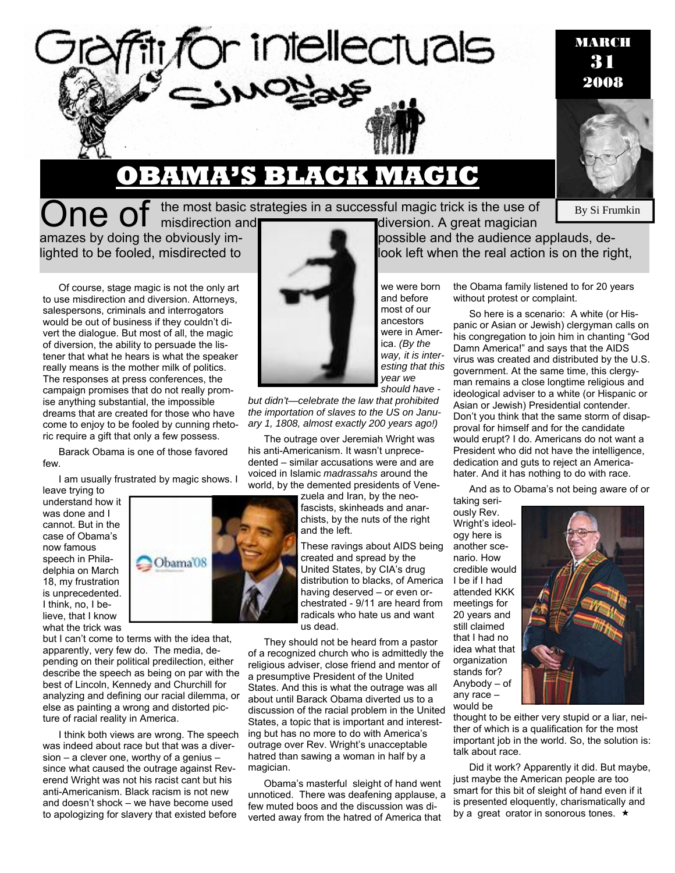

## **OBAMA'S BLACK MAGIC**

One of the most basic strategies in a successful magic trick is the use of misdirection and diversion. A great magician

Of course, stage magic is not the only art to use misdirection and diversion. Attorneys, salespersons, criminals and interrogators would be out of business if they couldn't divert the dialogue. But most of all, the magic of diversion, the ability to persuade the listener that what he hears is what the speaker really means is the mother milk of politics. The responses at press conferences, the campaign promises that do not really promise anything substantial, the impossible dreams that are created for those who have come to enjoy to be fooled by cunning rhetoric require a gift that only a few possess.

Barack Obama is one of those favored few.

I am usually frustrated by magic shows. I

leave trying to understand how it was done and I cannot. But in the case of Obama's now famous speech in Philadelphia on March 18, my frustration is unprecedented. I think, no, I believe, that I know what the trick was



I think both views are wrong. The speech was indeed about race but that was a diversion – a clever one, worthy of a genius – since what caused the outrage against Reverend Wright was not his racist cant but his anti-Americanism. Black racism is not new and doesn't shock – we have become used to apologizing for slavery that existed before



*but didn't—celebrate the law that prohibited the importation of slaves to the US on January 1, 1808, almost exactly 200 years ago!)*

The outrage over Jeremiah Wright was his anti-Americanism. It wasn't unprecedented – similar accusations were and are voiced in Islamic *madrassahs* around the world, by the demented presidents of Vene-

> zuela and Iran, by the neofascists, skinheads and anarchists, by the nuts of the right and the left.

These ravings about AIDS being created and spread by the United States, by CIA's drug distribution to blacks, of America having deserved – or even orchestrated - 9/11 are heard from radicals who hate us and want us dead.

They should not be heard from a pastor of a recognized church who is admittedly the religious adviser, close friend and mentor of a presumptive President of the United States. And this is what the outrage was all about until Barack Obama diverted us to a discussion of the racial problem in the United States, a topic that is important and interesting but has no more to do with America's outrage over Rev. Wright's unacceptable hatred than sawing a woman in half by a magician.

Obama's masterful sleight of hand went unnoticed. There was deafening applause, a few muted boos and the discussion was diverted away from the hatred of America that

amazes by doing the obviously imlighted to be fooled, misdirected to look left when the real action is on the right,

> we were born and before most of our ancestors were in America. *(By the way, it is interesting that this year we should have -*

the Obama family listened to for 20 years without protest or complaint.

So here is a scenario: A white (or Hispanic or Asian or Jewish) clergyman calls on his congregation to join him in chanting "God Damn America!" and says that the AIDS virus was created and distributed by the U.S. government. At the same time, this clergyman remains a close longtime religious and ideological adviser to a white (or Hispanic or Asian or Jewish) Presidential contender. Don't you think that the same storm of disapproval for himself and for the candidate would erupt? I do. Americans do not want a President who did not have the intelligence, dedication and guts to reject an Americahater. And it has nothing to do with race.

And as to Obama's not being aware of or taking seri-

ously Rev. Wright's ideology here is another scenario. How credible would I be if I had attended KKK meetings for 20 years and still claimed that I had no idea what that organization stands for? Anybody – of any race – would be



thought to be either very stupid or a liar, neither of which is a qualification for the most important job in the world. So, the solution is: talk about race.

Did it work? Apparently it did. But maybe, just maybe the American people are too smart for this bit of sleight of hand even if it is presented eloquently, charismatically and by a great orator in sonorous tones.  $\star$ 



By Si Frumkin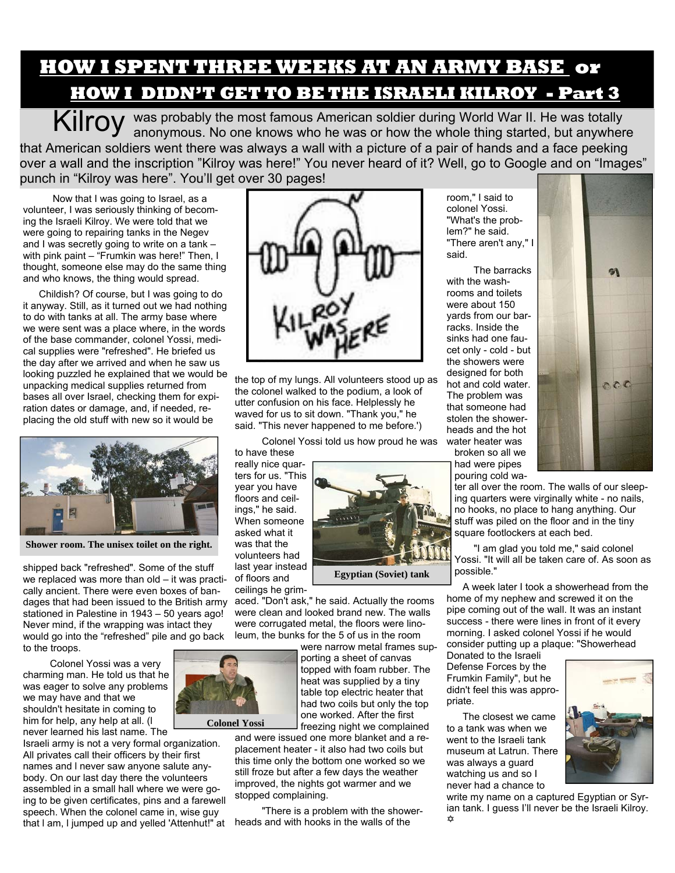## **HOW I SPENT THREE WEEKS AT AN ARMY BASE or HOW I DIDN'T GET TO BE THE ISRAELI KILROY - Part 3**

Kilroy was probably the most famous American soldier during World War II. He was totally anonymous. No one knows who he was or how the whole thing started, but anywhere that American soldiers went there was always a wall with a picture of a pair of hands and a face peeking over a wall and the inscription "Kilroy was here!" You never heard of it? Well, go to Google and on "Images" punch in "Kilroy was here". You'll get over 30 pages!

 Now that I was going to Israel, as a volunteer, I was seriously thinking of becoming the Israeli Kilroy. We were told that we were going to repairing tanks in the Negev and I was secretly going to write on a tank – with pink paint – "Frumkin was here!" Then, I thought, someone else may do the same thing and who knows, the thing would spread.

Childish? Of course, but I was going to do it anyway. Still, as it turned out we had nothing to do with tanks at all. The army base where we were sent was a place where, in the words of the base commander, colonel Yossi, medical supplies were "refreshed". He briefed us the day after we arrived and when he saw us looking puzzled he explained that we would be unpacking medical supplies returned from bases all over Israel, checking them for expiration dates or damage, and, if needed, replacing the old stuff with new so it would be



**Shower room. The unisex toilet on the right.** 

shipped back "refreshed". Some of the stuff we replaced was more than old – it was practically ancient. There were even boxes of bandages that had been issued to the British army stationed in Palestine in 1943 – 50 years ago! Never mind, if the wrapping was intact they would go into the "refreshed" pile and go back to the troops.

 Colonel Yossi was a very charming man. He told us that he was eager to solve any problems we may have and that we shouldn't hesitate in coming to him for help, any help at all. (l never learned his last name. The

Israeli army is not a very formal organization. All privates call their officers by their first names and l never saw anyone salute anybody. On our last day there the volunteers assembled in a small hall where we were going to be given certificates, pins and a farewell speech. When the colonel came in, wise guy that l am, l jumped up and yelled 'Attenhut!" at



the top of my lungs. All volunteers stood up as the colonel walked to the podium, a look of utter confusion on his face. Helplessly he waved for us to sit down. "Thank you," he said. "This never happened to me before.')

Colonel Yossi told us how proud he was

to have these really nice quarters for us. "This year you have floors and ceilings," he said. When someone asked what it was that the volunteers had last year instead of floors and

**Egyptian (Soviet) tank** 

ceilings he grimaced. "Don't ask," he said. Actually the rooms were clean and looked brand new. The walls were corrugated metal, the floors were linoleum, the bunks for the 5 of us in the room

> were narrow metal frames supporting a sheet of canvas topped with foam rubber. The heat was supplied by a tiny table top electric heater that had two coils but only the top one worked. After the first freezing night we complained

and were issued one more blanket and a replacement heater - it also had two coils but this time only the bottom one worked so we still froze but after a few days the weather improved, the nights got warmer and we stopped complaining.

 "There is a problem with the showerheads and with hooks in the walls of the

room," I said to colonel Yossi. "What's the problem?" he said. "There aren't any," I said.

 The barracks with the washrooms and toilets were about 150 yards from our barracks. Inside the sinks had one faucet only - cold - but the showers were designed for both hot and cold water. The problem was that someone had stolen the showerheads and the hot water heater was

broken so all we had were pipes pouring cold wa-

ter all over the room. The walls of our sleeping quarters were virginally white - no nails, no hooks, no place to hang anything. Our stuff was piled on the floor and in the tiny

 "I am glad you told me," said colonel Yossi. "It will all be taken care of. As soon as possible."

square footlockers at each bed.

A week later I took a showerhead from the home of my nephew and screwed it on the pipe coming out of the wall. It was an instant success - there were lines in front of it every morning. I asked colonel Yossi if he would consider putting up a plaque: "Showerhead

Donated to the Israeli Defense Forces by the Frumkin Family", but he didn't feel this was appropriate.

The closest we came to a tank was when we went to the Israeli tank museum at Latrun. There was always a guard watching us and so I never had a chance to

write my name on a captured Egyptian or Syrian tank. I guess I'll never be the Israeli Kilroy. @





**Colonel Yossi**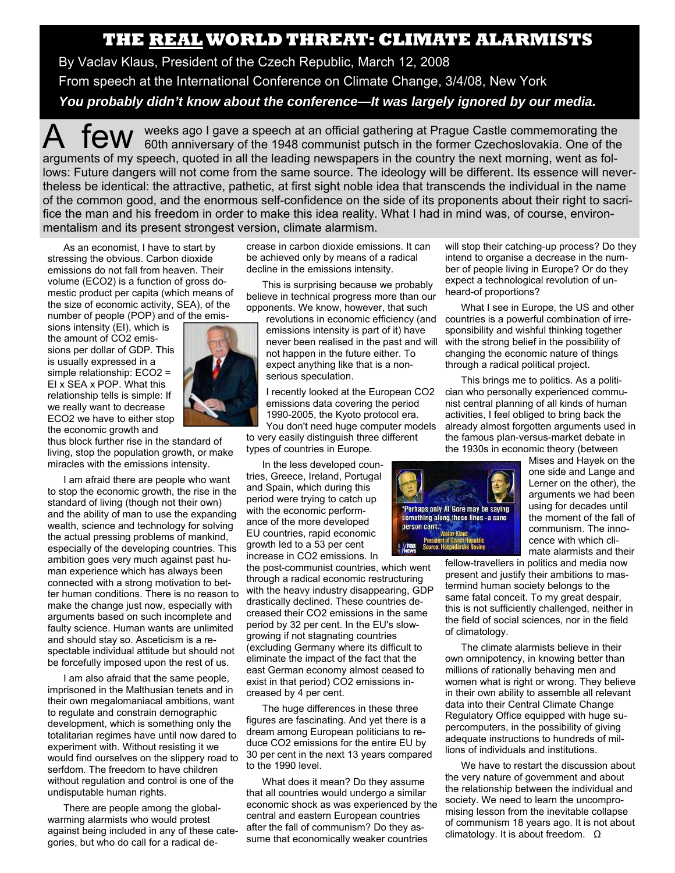## **THE REAL WORLD THREAT: CLIMATE ALARMISTS**

By Vaclav Klaus, President of the Czech Republic, March 12, 2008 From speech at the International Conference on Climate Change, 3/4/08, New York *You probably didn't know about the conference—It was largely ignored by our media.* 

A few weeks ago I gave a speech at an official gathering at Prague Castle commemorating the 60th anniversary of the 1948 communist putsch in the former Czechoslovakia. One of the arguments of my speech, quoted in all the leading newspapers in the country the next morning, went as follows: Future dangers will not come from the same source. The ideology will be different. Its essence will nevertheless be identical: the attractive, pathetic, at first sight noble idea that transcends the individual in the name of the common good, and the enormous self-confidence on the side of its proponents about their right to sacrifice the man and his freedom in order to make this idea reality. What I had in mind was, of course, environmentalism and its present strongest version, climate alarmism.

As an economist, I have to start by stressing the obvious. Carbon dioxide emissions do not fall from heaven. Their volume (ECO2) is a function of gross domestic product per capita (which means of the size of economic activity, SEA), of the number of people (POP) and of the emis-

sions intensity (EI), which is the amount of CO2 emissions per dollar of GDP. This is usually expressed in a simple relationship: ECO2 = EI x SEA x POP. What this relationship tells is simple: If we really want to decrease ECO2 we have to either stop the economic growth and



thus block further rise in the standard of living, stop the population growth, or make miracles with the emissions intensity.

I am afraid there are people who want to stop the economic growth, the rise in the standard of living (though not their own) and the ability of man to use the expanding wealth, science and technology for solving the actual pressing problems of mankind, especially of the developing countries. This ambition goes very much against past human experience which has always been connected with a strong motivation to better human conditions. There is no reason to make the change just now, especially with arguments based on such incomplete and faulty science. Human wants are unlimited and should stay so. Asceticism is a respectable individual attitude but should not be forcefully imposed upon the rest of us.

I am also afraid that the same people, imprisoned in the Malthusian tenets and in their own megalomaniacal ambitions, want to regulate and constrain demographic development, which is something only the totalitarian regimes have until now dared to experiment with. Without resisting it we would find ourselves on the slippery road to serfdom. The freedom to have children without regulation and control is one of the undisputable human rights.

There are people among the globalwarming alarmists who would protest against being included in any of these categories, but who do call for a radical decrease in carbon dioxide emissions. It can be achieved only by means of a radical decline in the emissions intensity.

This is surprising because we probably believe in technical progress more than our opponents. We know, however, that such

emissions intensity is part of it) have never been realised in the past and will not happen in the future either. To expect anything like that is a nonserious speculation.

I recently looked at the European CO2 emissions data covering the period 1990-2005, the Kyoto protocol era.

You don't need huge computer models to very easily distinguish three different types of countries in Europe.

In the less developed countries, Greece, Ireland, Portugal and Spain, which during this period were trying to catch up with the economic performance of the more developed EU countries, rapid economic growth led to a 53 per cent increase in CO2 emissions. In

the post-communist countries, which went through a radical economic restructuring with the heavy industry disappearing, GDP drastically declined. These countries decreased their CO2 emissions in the same period by 32 per cent. In the EU's slowgrowing if not stagnating countries (excluding Germany where its difficult to eliminate the impact of the fact that the east German economy almost ceased to exist in that period) CO2 emissions increased by 4 per cent.

The huge differences in these three figures are fascinating. And yet there is a dream among European politicians to reduce CO2 emissions for the entire EU by 30 per cent in the next 13 years compared to the 1990 level.

What does it mean? Do they assume that all countries would undergo a similar economic shock as was experienced by the central and eastern European countries after the fall of communism? Do they assume that economically weaker countries

will stop their catching-up process? Do they intend to organise a decrease in the number of people living in Europe? Or do they expect a technological revolution of unheard-of proportions?

revolutions in economic efficiency (and countries is a powerful combination of irre-What I see in Europe, the US and other sponsibility and wishful thinking together with the strong belief in the possibility of changing the economic nature of things through a radical political project.

> This brings me to politics. As a politician who personally experienced communist central planning of all kinds of human activities, I feel obliged to bring back the already almost forgotten arguments used in the famous plan-versus-market debate in the 1930s in economic theory (between



Mises and Hayek on the one side and Lange and Lerner on the other), the arguments we had been using for decades until the moment of the fall of communism. The innocence with which climate alarmists and their

fellow-travellers in politics and media now present and justify their ambitions to mastermind human society belongs to the same fatal conceit. To my great despair, this is not sufficiently challenged, neither in the field of social sciences, nor in the field of climatology.

The climate alarmists believe in their own omnipotency, in knowing better than millions of rationally behaving men and women what is right or wrong. They believe in their own ability to assemble all relevant data into their Central Climate Change Regulatory Office equipped with huge supercomputers, in the possibility of giving adequate instructions to hundreds of millions of individuals and institutions.

We have to restart the discussion about the very nature of government and about the relationship between the individual and society. We need to learn the uncompromising lesson from the inevitable collapse of communism 18 years ago. It is not about climatology. It is about freedom. Ω